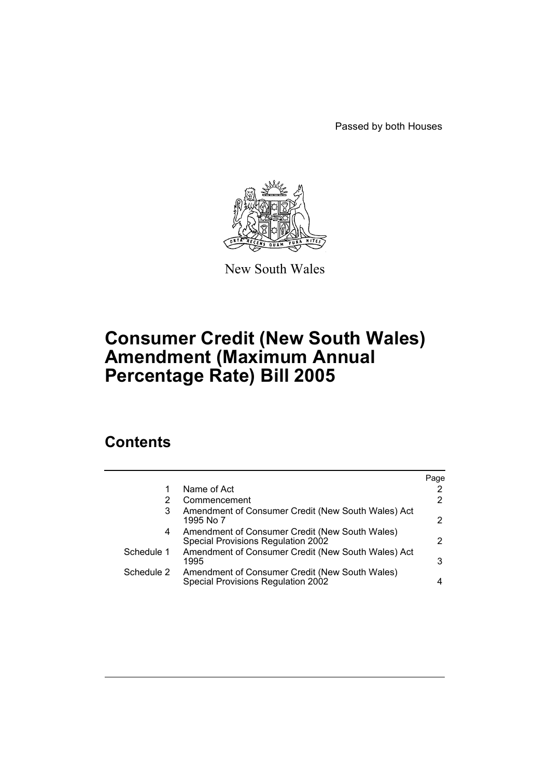Passed by both Houses



New South Wales

# **Consumer Credit (New South Wales) Amendment (Maximum Annual Percentage Rate) Bill 2005**

# **Contents**

| Name of Act<br>Commencement<br>2<br>Amendment of Consumer Credit (New South Wales) Act<br>3        | Page                  |
|----------------------------------------------------------------------------------------------------|-----------------------|
|                                                                                                    | 2                     |
|                                                                                                    | $\mathbf{2}^{\prime}$ |
| 1995 No 7                                                                                          | $\mathcal{P}$         |
| Amendment of Consumer Credit (New South Wales)<br>4<br>Special Provisions Regulation 2002          | $\mathcal{P}$         |
| Amendment of Consumer Credit (New South Wales) Act<br>Schedule 1<br>1995                           | 3                     |
| Schedule 2<br>Amendment of Consumer Credit (New South Wales)<br>Special Provisions Regulation 2002 | 4                     |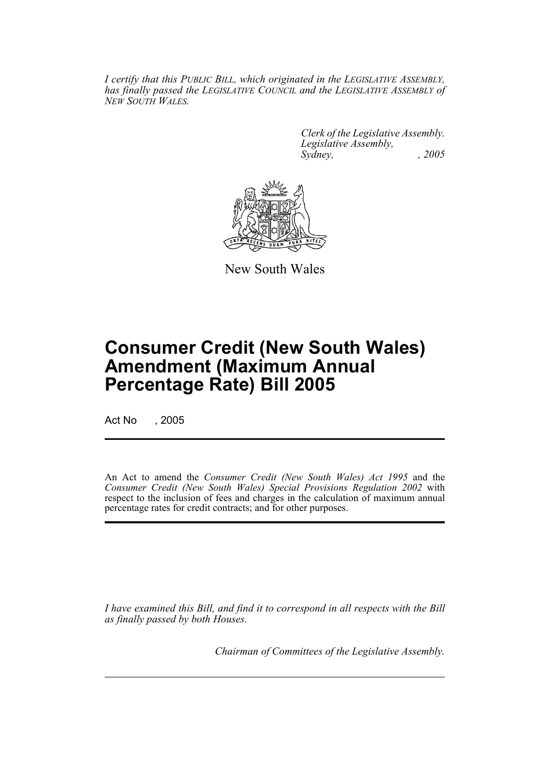*I certify that this PUBLIC BILL, which originated in the LEGISLATIVE ASSEMBLY, has finally passed the LEGISLATIVE COUNCIL and the LEGISLATIVE ASSEMBLY of NEW SOUTH WALES.*

> *Clerk of the Legislative Assembly. Legislative Assembly, Sydney, , 2005*



New South Wales

# **Consumer Credit (New South Wales) Amendment (Maximum Annual Percentage Rate) Bill 2005**

Act No , 2005

An Act to amend the *Consumer Credit (New South Wales) Act 1995* and the *Consumer Credit (New South Wales) Special Provisions Regulation 2002* with respect to the inclusion of fees and charges in the calculation of maximum annual percentage rates for credit contracts; and for other purposes.

*I have examined this Bill, and find it to correspond in all respects with the Bill as finally passed by both Houses.*

*Chairman of Committees of the Legislative Assembly.*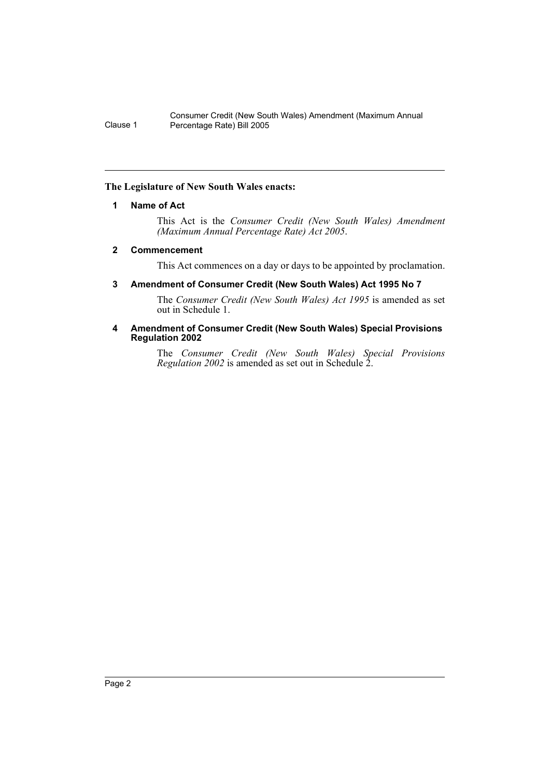## **The Legislature of New South Wales enacts:**

# **1 Name of Act**

This Act is the *Consumer Credit (New South Wales) Amendment (Maximum Annual Percentage Rate) Act 2005*.

# **2 Commencement**

This Act commences on a day or days to be appointed by proclamation.

## **3 Amendment of Consumer Credit (New South Wales) Act 1995 No 7**

The *Consumer Credit (New South Wales) Act 1995* is amended as set out in Schedule 1.

## **4 Amendment of Consumer Credit (New South Wales) Special Provisions Regulation 2002**

The *Consumer Credit (New South Wales) Special Provisions Regulation 2002* is amended as set out in Schedule 2.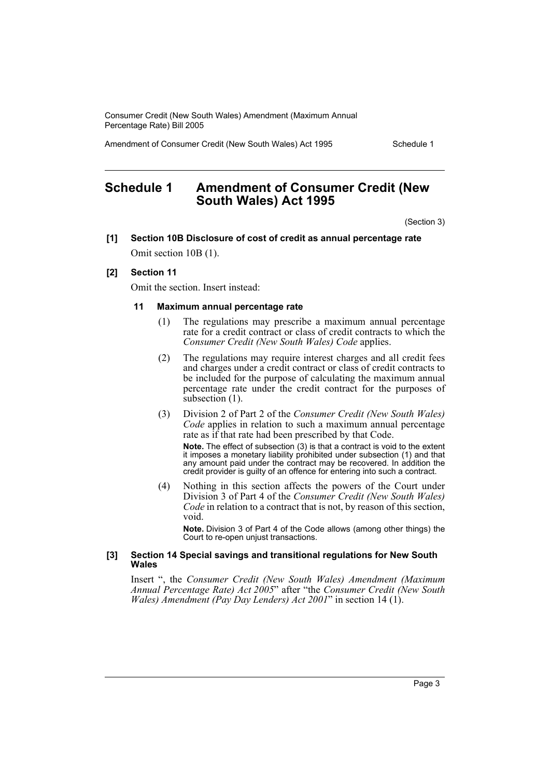Amendment of Consumer Credit (New South Wales) Act 1995 Schedule 1

# **Schedule 1 Amendment of Consumer Credit (New South Wales) Act 1995**

(Section 3)

# **[1] Section 10B Disclosure of cost of credit as annual percentage rate** Omit section 10B (1).

#### **[2] Section 11**

Omit the section. Insert instead:

#### **11 Maximum annual percentage rate**

- (1) The regulations may prescribe a maximum annual percentage rate for a credit contract or class of credit contracts to which the *Consumer Credit (New South Wales) Code* applies.
- (2) The regulations may require interest charges and all credit fees and charges under a credit contract or class of credit contracts to be included for the purpose of calculating the maximum annual percentage rate under the credit contract for the purposes of subsection  $(1)$ .
- (3) Division 2 of Part 2 of the *Consumer Credit (New South Wales) Code* applies in relation to such a maximum annual percentage rate as if that rate had been prescribed by that Code.

**Note.** The effect of subsection (3) is that a contract is void to the extent it imposes a monetary liability prohibited under subsection (1) and that any amount paid under the contract may be recovered. In addition the credit provider is guilty of an offence for entering into such a contract.

(4) Nothing in this section affects the powers of the Court under Division 3 of Part 4 of the *Consumer Credit (New South Wales) Code* in relation to a contract that is not, by reason of this section, void.

**Note.** Division 3 of Part 4 of the Code allows (among other things) the Court to re-open unjust transactions.

#### **[3] Section 14 Special savings and transitional regulations for New South Wales**

Insert ", the *Consumer Credit (New South Wales) Amendment (Maximum Annual Percentage Rate) Act 2005*" after "the *Consumer Credit (New South Wales) Amendment (Pay Day Lenders) Act 2001*" in section 14 (1).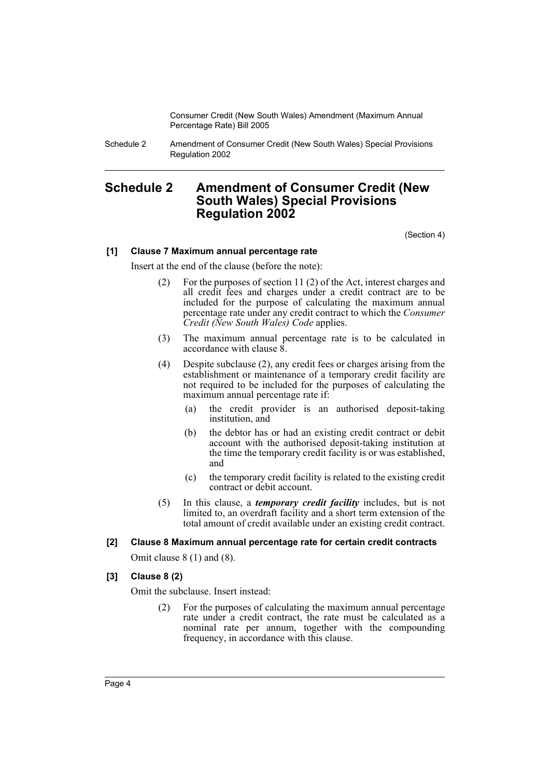Schedule 2 Amendment of Consumer Credit (New South Wales) Special Provisions Regulation 2002

# **Schedule 2 Amendment of Consumer Credit (New South Wales) Special Provisions Regulation 2002**

(Section 4)

### **[1] Clause 7 Maximum annual percentage rate**

Insert at the end of the clause (before the note):

- For the purposes of section 11 (2) of the Act, interest charges and all credit fees and charges under a credit contract are to be included for the purpose of calculating the maximum annual percentage rate under any credit contract to which the *Consumer Credit (New South Wales) Code* applies.
- (3) The maximum annual percentage rate is to be calculated in accordance with clause 8.
- (4) Despite subclause (2), any credit fees or charges arising from the establishment or maintenance of a temporary credit facility are not required to be included for the purposes of calculating the maximum annual percentage rate if:
	- (a) the credit provider is an authorised deposit-taking institution, and
	- (b) the debtor has or had an existing credit contract or debit account with the authorised deposit-taking institution at the time the temporary credit facility is or was established, and
	- (c) the temporary credit facility is related to the existing credit contract or debit account.
- (5) In this clause, a *temporary credit facility* includes, but is not limited to, an overdraft facility and a short term extension of the total amount of credit available under an existing credit contract.

## **[2] Clause 8 Maximum annual percentage rate for certain credit contracts**

Omit clause 8 (1) and (8).

#### **[3] Clause 8 (2)**

Omit the subclause. Insert instead:

(2) For the purposes of calculating the maximum annual percentage rate under a credit contract, the rate must be calculated as a nominal rate per annum, together with the compounding frequency, in accordance with this clause.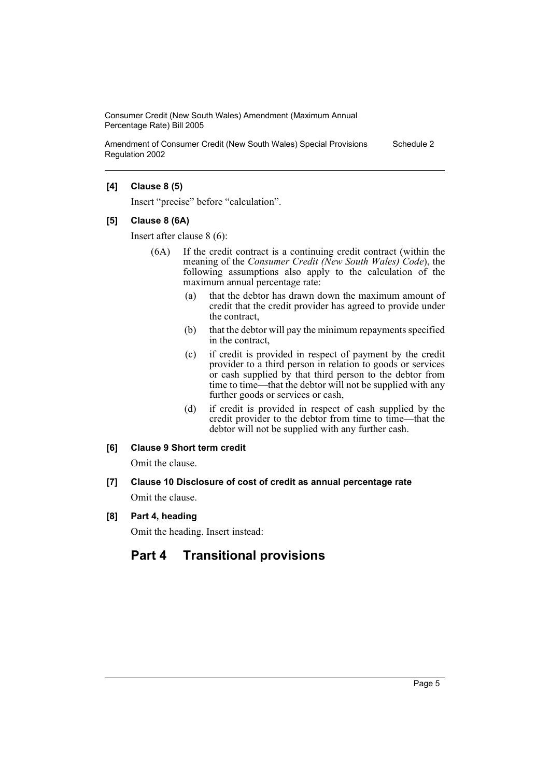Amendment of Consumer Credit (New South Wales) Special Provisions Regulation 2002 Schedule 2

## **[4] Clause 8 (5)**

Insert "precise" before "calculation".

**[5] Clause 8 (6A)**

Insert after clause 8 (6):

- (6A) If the credit contract is a continuing credit contract (within the meaning of the *Consumer Credit (New South Wales) Code*), the following assumptions also apply to the calculation of the maximum annual percentage rate:
	- (a) that the debtor has drawn down the maximum amount of credit that the credit provider has agreed to provide under the contract,
	- (b) that the debtor will pay the minimum repayments specified in the contract,
	- (c) if credit is provided in respect of payment by the credit provider to a third person in relation to goods or services or cash supplied by that third person to the debtor from time to time—that the debtor will not be supplied with any further goods or services or cash,
	- (d) if credit is provided in respect of cash supplied by the credit provider to the debtor from time to time—that the debtor will not be supplied with any further cash.

#### **[6] Clause 9 Short term credit**

Omit the clause.

# **[7] Clause 10 Disclosure of cost of credit as annual percentage rate** Omit the clause.

**[8] Part 4, heading**

Omit the heading. Insert instead:

# **Part 4 Transitional provisions**